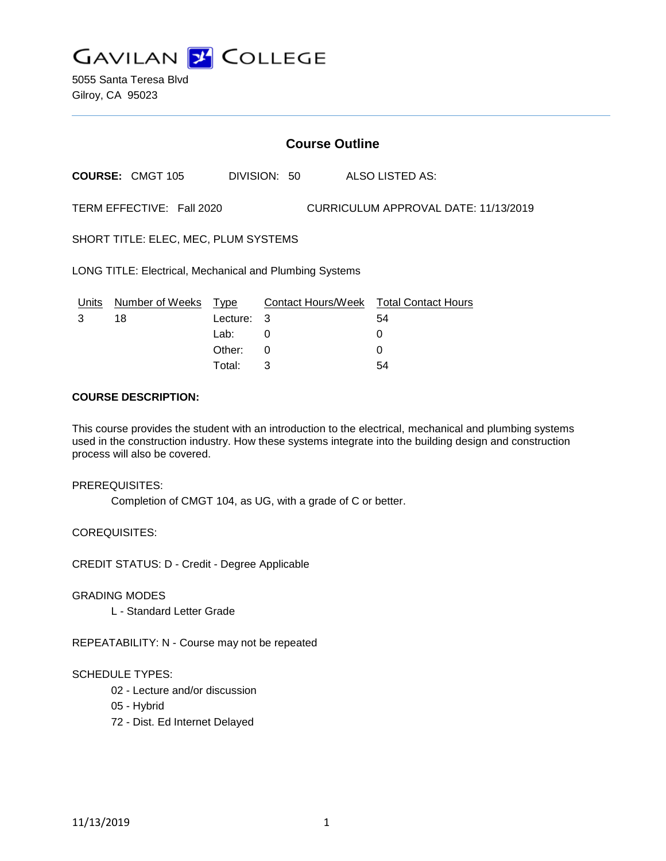

5055 Santa Teresa Blvd Gilroy, CA 95023

## **Course Outline**

**COURSE:** CMGT 105 DIVISION: 50 ALSO LISTED AS:

TERM EFFECTIVE: Fall 2020 CURRICULUM APPROVAL DATE: 11/13/2019

SHORT TITLE: ELEC, MEC, PLUM SYSTEMS

LONG TITLE: Electrical, Mechanical and Plumbing Systems

| Units | Number of Weeks Type |            | Contact Hours/Week Total Contact Hours |    |
|-------|----------------------|------------|----------------------------------------|----|
|       | 18                   | Lecture: 3 |                                        | 54 |
|       |                      | Lab:       |                                        |    |
|       |                      | Other: 0   |                                        |    |
|       |                      | Total:     |                                        | 54 |

### **COURSE DESCRIPTION:**

This course provides the student with an introduction to the electrical, mechanical and plumbing systems used in the construction industry. How these systems integrate into the building design and construction process will also be covered.

PREREQUISITES:

Completion of CMGT 104, as UG, with a grade of C or better.

COREQUISITES:

CREDIT STATUS: D - Credit - Degree Applicable

GRADING MODES

L - Standard Letter Grade

REPEATABILITY: N - Course may not be repeated

#### SCHEDULE TYPES:

- 02 Lecture and/or discussion
- 05 Hybrid
- 72 Dist. Ed Internet Delayed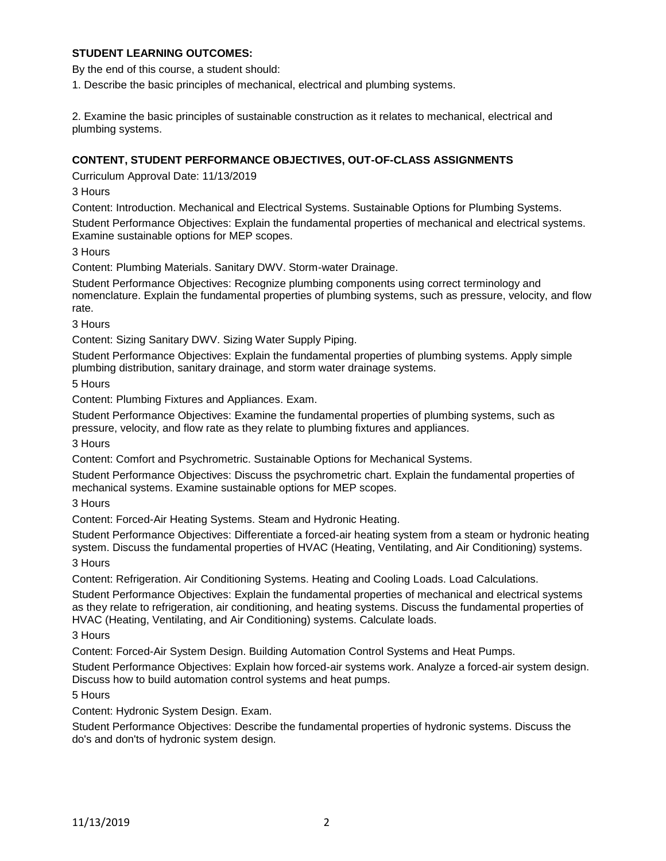## **STUDENT LEARNING OUTCOMES:**

By the end of this course, a student should:

1. Describe the basic principles of mechanical, electrical and plumbing systems.

2. Examine the basic principles of sustainable construction as it relates to mechanical, electrical and plumbing systems.

#### **CONTENT, STUDENT PERFORMANCE OBJECTIVES, OUT-OF-CLASS ASSIGNMENTS**

Curriculum Approval Date: 11/13/2019

3 Hours

Content: Introduction. Mechanical and Electrical Systems. Sustainable Options for Plumbing Systems.

Student Performance Objectives: Explain the fundamental properties of mechanical and electrical systems. Examine sustainable options for MEP scopes.

3 Hours

Content: Plumbing Materials. Sanitary DWV. Storm-water Drainage.

Student Performance Objectives: Recognize plumbing components using correct terminology and nomenclature. Explain the fundamental properties of plumbing systems, such as pressure, velocity, and flow rate.

3 Hours

Content: Sizing Sanitary DWV. Sizing Water Supply Piping.

Student Performance Objectives: Explain the fundamental properties of plumbing systems. Apply simple plumbing distribution, sanitary drainage, and storm water drainage systems.

5 Hours

Content: Plumbing Fixtures and Appliances. Exam.

Student Performance Objectives: Examine the fundamental properties of plumbing systems, such as pressure, velocity, and flow rate as they relate to plumbing fixtures and appliances.

3 Hours

Content: Comfort and Psychrometric. Sustainable Options for Mechanical Systems.

Student Performance Objectives: Discuss the psychrometric chart. Explain the fundamental properties of mechanical systems. Examine sustainable options for MEP scopes.

3 Hours

Content: Forced-Air Heating Systems. Steam and Hydronic Heating.

Student Performance Objectives: Differentiate a forced-air heating system from a steam or hydronic heating system. Discuss the fundamental properties of HVAC (Heating, Ventilating, and Air Conditioning) systems.

3 Hours

Content: Refrigeration. Air Conditioning Systems. Heating and Cooling Loads. Load Calculations.

Student Performance Objectives: Explain the fundamental properties of mechanical and electrical systems as they relate to refrigeration, air conditioning, and heating systems. Discuss the fundamental properties of HVAC (Heating, Ventilating, and Air Conditioning) systems. Calculate loads.

3 Hours

Content: Forced-Air System Design. Building Automation Control Systems and Heat Pumps.

Student Performance Objectives: Explain how forced-air systems work. Analyze a forced-air system design. Discuss how to build automation control systems and heat pumps.

5 Hours

Content: Hydronic System Design. Exam.

Student Performance Objectives: Describe the fundamental properties of hydronic systems. Discuss the do's and don'ts of hydronic system design.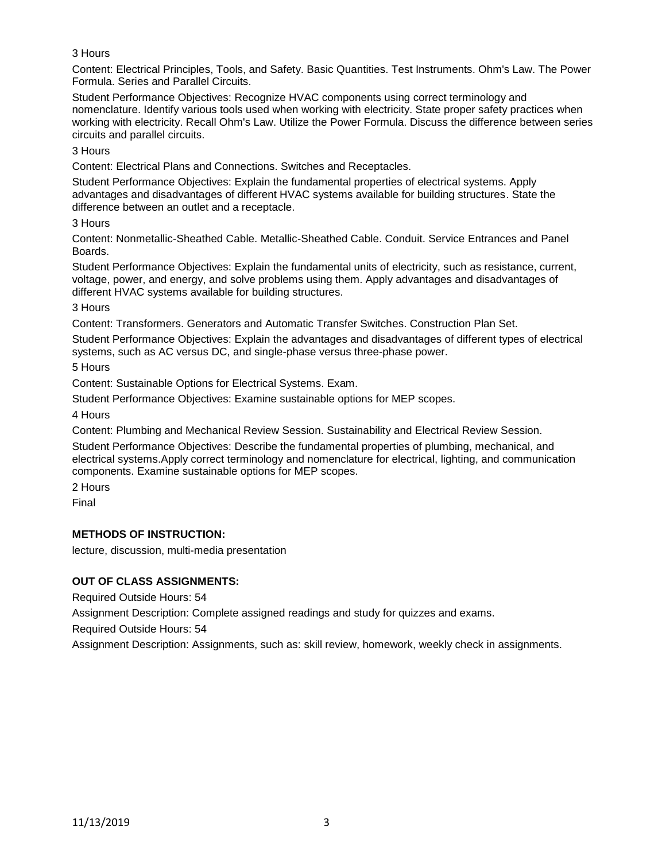# 3 Hours

Content: Electrical Principles, Tools, and Safety. Basic Quantities. Test Instruments. Ohm's Law. The Power Formula. Series and Parallel Circuits.

Student Performance Objectives: Recognize HVAC components using correct terminology and nomenclature. Identify various tools used when working with electricity. State proper safety practices when working with electricity. Recall Ohm's Law. Utilize the Power Formula. Discuss the difference between series circuits and parallel circuits.

3 Hours

Content: Electrical Plans and Connections. Switches and Receptacles.

Student Performance Objectives: Explain the fundamental properties of electrical systems. Apply advantages and disadvantages of different HVAC systems available for building structures. State the difference between an outlet and a receptacle.

3 Hours

Content: Nonmetallic-Sheathed Cable. Metallic-Sheathed Cable. Conduit. Service Entrances and Panel Boards.

Student Performance Objectives: Explain the fundamental units of electricity, such as resistance, current, voltage, power, and energy, and solve problems using them. Apply advantages and disadvantages of different HVAC systems available for building structures.

3 Hours

Content: Transformers. Generators and Automatic Transfer Switches. Construction Plan Set.

Student Performance Objectives: Explain the advantages and disadvantages of different types of electrical systems, such as AC versus DC, and single-phase versus three-phase power.

5 Hours

Content: Sustainable Options for Electrical Systems. Exam.

Student Performance Objectives: Examine sustainable options for MEP scopes.

4 Hours

Content: Plumbing and Mechanical Review Session. Sustainability and Electrical Review Session.

Student Performance Objectives: Describe the fundamental properties of plumbing, mechanical, and electrical systems.Apply correct terminology and nomenclature for electrical, lighting, and communication components. Examine sustainable options for MEP scopes.

2 Hours

Final

#### **METHODS OF INSTRUCTION:**

lecture, discussion, multi-media presentation

#### **OUT OF CLASS ASSIGNMENTS:**

Required Outside Hours: 54

Assignment Description: Complete assigned readings and study for quizzes and exams.

Required Outside Hours: 54

Assignment Description: Assignments, such as: skill review, homework, weekly check in assignments.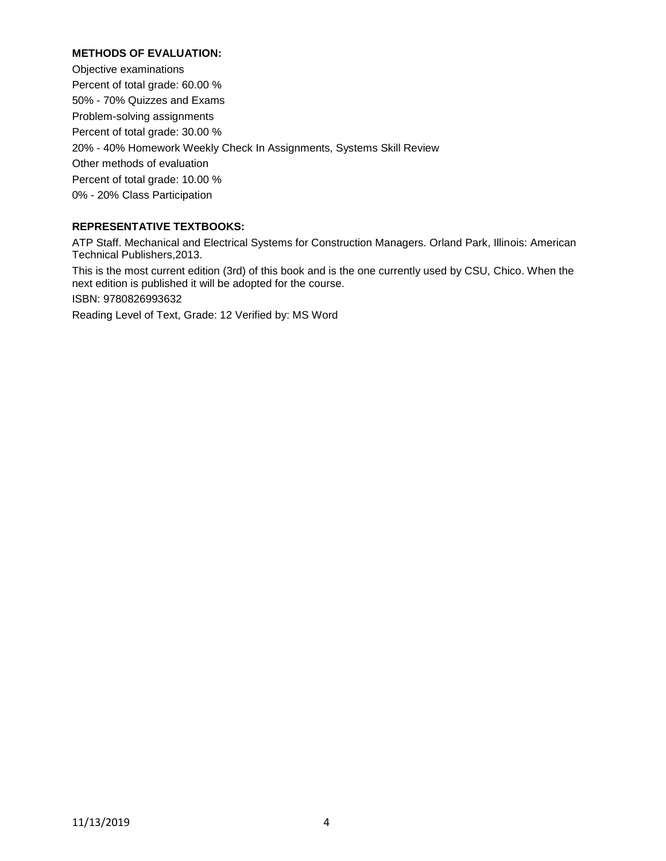## **METHODS OF EVALUATION:**

Objective examinations Percent of total grade: 60.00 % 50% - 70% Quizzes and Exams Problem-solving assignments Percent of total grade: 30.00 % 20% - 40% Homework Weekly Check In Assignments, Systems Skill Review Other methods of evaluation Percent of total grade: 10.00 % 0% - 20% Class Participation

# **REPRESENTATIVE TEXTBOOKS:**

ATP Staff. Mechanical and Electrical Systems for Construction Managers. Orland Park, Illinois: American Technical Publishers,2013.

This is the most current edition (3rd) of this book and is the one currently used by CSU, Chico. When the next edition is published it will be adopted for the course. ISBN: 9780826993632

Reading Level of Text, Grade: 12 Verified by: MS Word